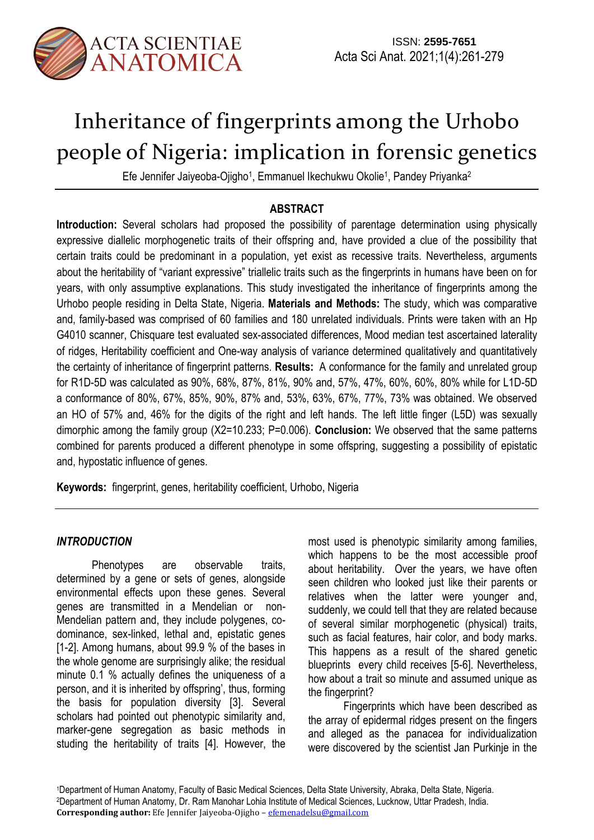

# Inheritance of fingerprints among the Urhobo people of Nigeria: implication in forensic genetics

Efe Jennifer Jaiyeoba-Ojigho<sup>1</sup>, Emmanuel Ikechukwu Okolie<sup>1</sup>, Pandey Priyanka<sup>2</sup>

# **ABSTRACT**

**Introduction:** Several scholars had proposed the possibility of parentage determination using physically expressive diallelic morphogenetic traits of their offspring and, have provided a clue of the possibility that certain traits could be predominant in a population, yet exist as recessive traits. Nevertheless, arguments about the heritability of "variant expressive" triallelic traits such as the fingerprints in humans have been on for years, with only assumptive explanations. This study investigated the inheritance of fingerprints among the Urhobo people residing in Delta State, Nigeria. **Materials and Methods:** The study, which was comparative and, family-based was comprised of 60 families and 180 unrelated individuals. Prints were taken with an Hp G4010 scanner, Chisquare test evaluated sex-associated differences, Mood median test ascertained laterality of ridges, Heritability coefficient and One-way analysis of variance determined qualitatively and quantitatively the certainty of inheritance of fingerprint patterns. **Results:** A conformance for the family and unrelated group for R1D-5D was calculated as 90%, 68%, 87%, 81%, 90% and, 57%, 47%, 60%, 60%, 80% while for L1D-5D a conformance of 80%, 67%, 85%, 90%, 87% and, 53%, 63%, 67%, 77%, 73% was obtained. We observed an HO of 57% and, 46% for the digits of the right and left hands. The left little finger (L5D) was sexually dimorphic among the family group (X2=10.233; P=0.006). **Conclusion:** We observed that the same patterns combined for parents produced a different phenotype in some offspring, suggesting a possibility of epistatic and, hypostatic influence of genes.

**Keywords:** fingerprint, genes, heritability coefficient, Urhobo, Nigeria

## *INTRODUCTION*

Phenotypes are observable traits, determined by a gene or sets of genes, alongside environmental effects upon these genes. Several genes are transmitted in a Mendelian or non-Mendelian pattern and, they include polygenes, codominance, sex-linked, lethal and, epistatic genes [1-2]. Among humans, about 99.9 % of the bases in the whole genome are surprisingly alike; the residual minute 0.1 % actually defines the uniqueness of a person, and it is inherited by offspring', thus, forming the basis for population diversity [3]. Several scholars had pointed out phenotypic similarity and, marker-gene segregation as basic methods in studing the heritability of traits [4]. However, the

most used is phenotypic similarity among families, which happens to be the most accessible proof about heritability. Over the years, we have often seen children who looked just like their parents or relatives when the latter were younger and, suddenly, we could tell that they are related because of several similar morphogenetic (physical) traits, such as facial features, hair color, and body marks. This happens as a result of the shared genetic blueprints every child receives [5-6]. Nevertheless, how about a trait so minute and assumed unique as the fingerprint?

Fingerprints which have been described as the array of epidermal ridges present on the fingers and alleged as the panacea for individualization were discovered by the scientist Jan Purkinje in the

<sup>1</sup>Department of Human Anatomy, Faculty of Basic Medical Sciences, Delta State University, Abraka, Delta State, Nigeria. <sup>2</sup>Department of Human Anatomy, Dr. Ram Manohar Lohia Institute of Medical Sciences, Lucknow, Uttar Pradesh, India. **Corresponding author:** Efe Jennifer Jaiyeoba-Ojigho – efemenadelsu@gmail.com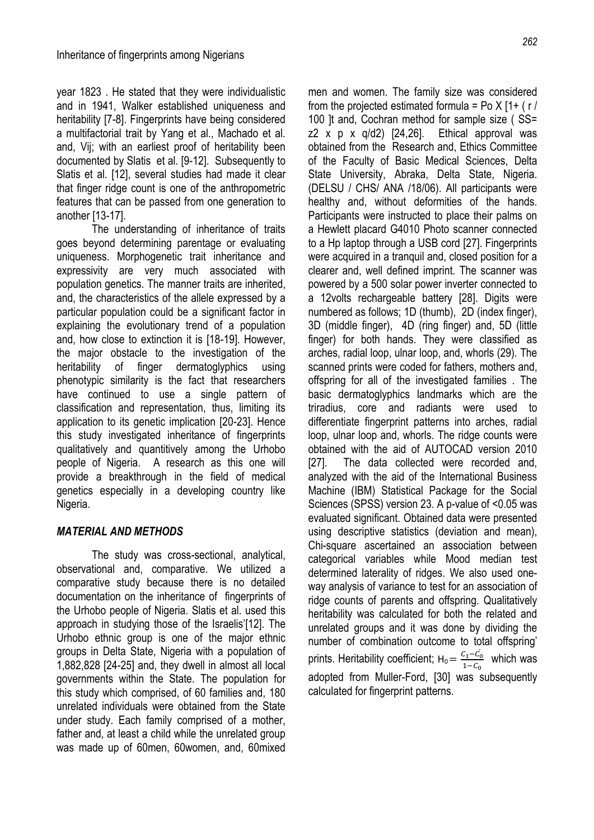year 1823 . He stated that they were individualistic and in 1941, Walker established uniqueness and heritability [7-8]. Fingerprints have being considered a multifactorial trait by Yang et al., Machado et al. and, Vij; with an earliest proof of heritability been documented by Slatis et al. [9-12]. Subsequently to Slatis et al. [12], several studies had made it clear that finger ridge count is one of the anthropometric features that can be passed from one generation to another [13-17].

The understanding of inheritance of traits goes beyond determining parentage or evaluating uniqueness. Morphogenetic trait inheritance and expressivity are very much associated with population genetics. The manner traits are inherited, and, the characteristics of the allele expressed by a particular population could be a significant factor in explaining the evolutionary trend of a population and, how close to extinction it is [18-19]. However, the major obstacle to the investigation of the heritability of finger dermatoglyphics using phenotypic similarity is the fact that researchers have continued to use a single pattern of classification and representation, thus, limiting its application to its genetic implication [20-23]. Hence this study investigated inheritance of fingerprints qualitatively and quantitively among the Urhobo people of Nigeria. A research as this one will provide a breakthrough in the field of medical genetics especially in a developing country like Nigeria.

### *MATERIAL AND METHODS*

The study was cross-sectional, analytical, observational and, comparative. We utilized a comparative study because there is no detailed documentation on the inheritance of fingerprints of the Urhobo people of Nigeria. Slatis et al. used this approach in studying those of the Israelis'[12]. The Urhobo ethnic group is one of the major ethnic groups in Delta State, Nigeria with a population of 1,882,828 [24-25] and, they dwell in almost all local governments within the State. The population for this study which comprised, of 60 families and, 180 unrelated individuals were obtained from the State under study. Each family comprised of a mother, father and, at least a child while the unrelated group was made up of 60men, 60women, and, 60mixed men and women. The family size was considered from the projected estimated formula = Po  $X$  [1+ (r)] 100 It and, Cochran method for sample size (SS= z2 x p x  $q/d2$  [24,26]. Ethical approval was obtained from the Research and, Ethics Committee of the Faculty of Basic Medical Sciences, Delta State University, Abraka, Delta State, Nigeria. (DELSU / CHS/ ANA /18/06). All participants were healthy and, without deformities of the hands. Participants were instructed to place their palms on a Hewlett placard G4010 Photo scanner connected to a Hp laptop through a USB cord [27]. Fingerprints were acquired in a tranquil and, closed position for a clearer and, well defined imprint. The scanner was powered by a 500 solar power inverter connected to a 12volts rechargeable battery [28]. Digits were numbered as follows; 1D (thumb), 2D (index finger), 3D (middle finger), 4D (ring finger) and, 5D (little finger) for both hands. They were classified as arches, radial loop, ulnar loop, and, whorls (29). The scanned prints were coded for fathers, mothers and, offspring for all of the investigated families . The basic dermatoglyphics landmarks which are the triradius, core and radiants were used to differentiate fingerprint patterns into arches, radial loop, ulnar loop and, whorls. The ridge counts were obtained with the aid of AUTOCAD version 2010 [27]. The data collected were recorded and, analyzed with the aid of the International Business Machine (IBM) Statistical Package for the Social Sciences (SPSS) version 23. A p-value of <0.05 was evaluated significant. Obtained data were presented using descriptive statistics (deviation and mean), Chi-square ascertained an association between categorical variables while Mood median test determined laterality of ridges. We also used oneway analysis of variance to test for an association of ridge counts of parents and offspring. Qualitatively heritability was calculated for both the related and unrelated groups and it was done by dividing the number of combination outcome to total offspring' prints. Heritability coefficient;  $H_0 = \frac{C_1 - C_0}{1 - C_0}$  $\frac{L_1 - L_0}{1 - C_0}$  which was adopted from Muller-Ford, [30] was subsequently calculated for fingerprint patterns.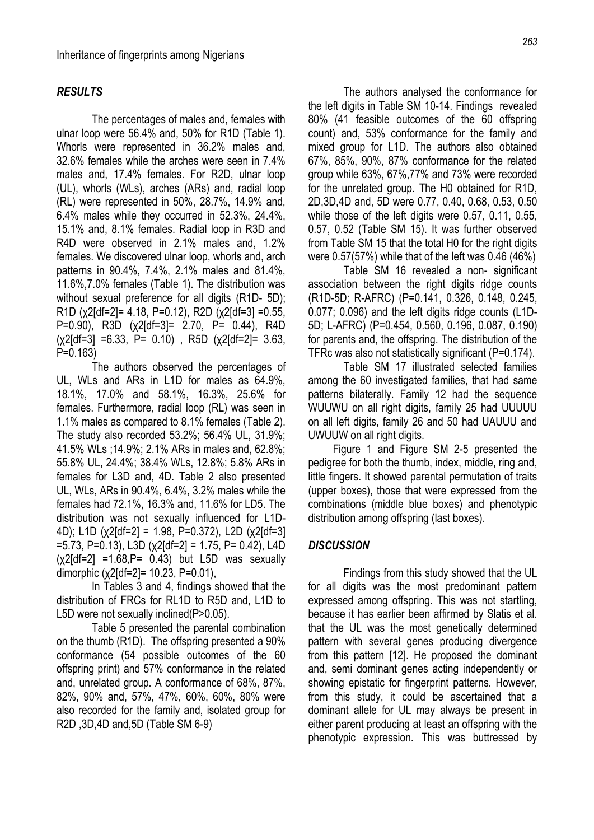#### *RESULTS*

The percentages of males and, females with ulnar loop were 56.4% and, 50% for R1D (Table 1). Whorls were represented in 36.2% males and, 32.6% females while the arches were seen in 7.4% males and, 17.4% females. For R2D, ulnar loop (UL), whorls (WLs), arches (ARs) and, radial loop (RL) were represented in 50%, 28.7%, 14.9% and, 6.4% males while they occurred in 52.3%, 24.4%, 15.1% and, 8.1% females. Radial loop in R3D and R4D were observed in 2.1% males and, 1.2% females. We discovered ulnar loop, whorls and, arch patterns in 90.4%, 7.4%, 2.1% males and 81.4%, 11.6%,7.0% females (Table 1). The distribution was without sexual preference for all digits (R1D- 5D); R1D (χ2[df=2]= 4.18, P=0.12), R2D (χ2[df=3] =0.55, P=0.90), R3D (χ2[df=3]= 2.70, P= 0.44), R4D  $(x2[df=3] = 6.33$ , P= 0.10), R5D  $(x2[df=2] = 3.63)$ P=0.163)

The authors observed the percentages of UL, WLs and ARs in L1D for males as 64.9%, 18.1%, 17.0% and 58.1%, 16.3%, 25.6% for females. Furthermore, radial loop (RL) was seen in 1.1% males as compared to 8.1% females (Table 2). The study also recorded 53.2%; 56.4% UL, 31.9%; 41.5% WLs ;14.9%; 2.1% ARs in males and, 62.8%; 55.8% UL, 24.4%; 38.4% WLs, 12.8%; 5.8% ARs in females for L3D and, 4D. Table 2 also presented UL, WLs, ARs in 90.4%, 6.4%, 3.2% males while the females had 72.1%, 16.3% and, 11.6% for LD5. The distribution was not sexually influenced for L1D-4D); L1D (χ2[df=2] = 1.98, P=0.372), L2D (χ2[df=3]  $=$  5.73, P=0.13), L3D (χ2[df=2] = 1.75, P= 0.42), L4D  $(x2[df=2] = 1.68, P = 0.43)$  but L5D was sexually dimorphic (χ2[df=2]= 10.23, P=0.01),

In Tables 3 and 4, findings showed that the distribution of FRCs for RL1D to R5D and, L1D to L5D were not sexually inclined(P>0.05).

Table 5 presented the parental combination on the thumb (R1D). The offspring presented a 90% conformance (54 possible outcomes of the 60 offspring print) and 57% conformance in the related and, unrelated group. A conformance of 68%, 87%, 82%, 90% and, 57%, 47%, 60%, 60%, 80% were also recorded for the family and, isolated group for R2D ,3D,4D and,5D (Table SM 6-9)

The authors analysed the conformance for the left digits in Table SM 10-14. Findings revealed 80% (41 feasible outcomes of the 60 offspring count) and, 53% conformance for the family and mixed group for L1D. The authors also obtained 67%, 85%, 90%, 87% conformance for the related group while 63%, 67%,77% and 73% were recorded for the unrelated group. The H0 obtained for R1D, 2D,3D,4D and, 5D were 0.77, 0.40, 0.68, 0.53, 0.50 while those of the left digits were 0.57, 0.11, 0.55, 0.57, 0.52 (Table SM 15). It was further observed from Table SM 15 that the total H0 for the right digits were 0.57(57%) while that of the left was 0.46 (46%)

Table SM 16 revealed a non- significant association between the right digits ridge counts (R1D-5D; R-AFRC) (P=0.141, 0.326, 0.148, 0.245, 0.077; 0.096) and the left digits ridge counts (L1D-5D; L-AFRC) (P=0.454, 0.560, 0.196, 0.087, 0.190) for parents and, the offspring. The distribution of the TFRc was also not statistically significant (P=0.174).

Table SM 17 illustrated selected families among the 60 investigated families, that had same patterns bilaterally. Family 12 had the sequence WUUWU on all right digits, family 25 had UUUUU on all left digits, family 26 and 50 had UAUUU and UWUUW on all right digits.

 Figure 1 and Figure SM 2-5 presented the pedigree for both the thumb, index, middle, ring and, little fingers. It showed parental permutation of traits (upper boxes), those that were expressed from the combinations (middle blue boxes) and phenotypic distribution among offspring (last boxes).

#### *DISCUSSION*

Findings from this study showed that the UL for all digits was the most predominant pattern expressed among offspring. This was not startling, because it has earlier been affirmed by Slatis et al. that the UL was the most genetically determined pattern with several genes producing divergence from this pattern [12]. He proposed the dominant and, semi dominant genes acting independently or showing epistatic for fingerprint patterns. However, from this study, it could be ascertained that a dominant allele for UL may always be present in either parent producing at least an offspring with the phenotypic expression. This was buttressed by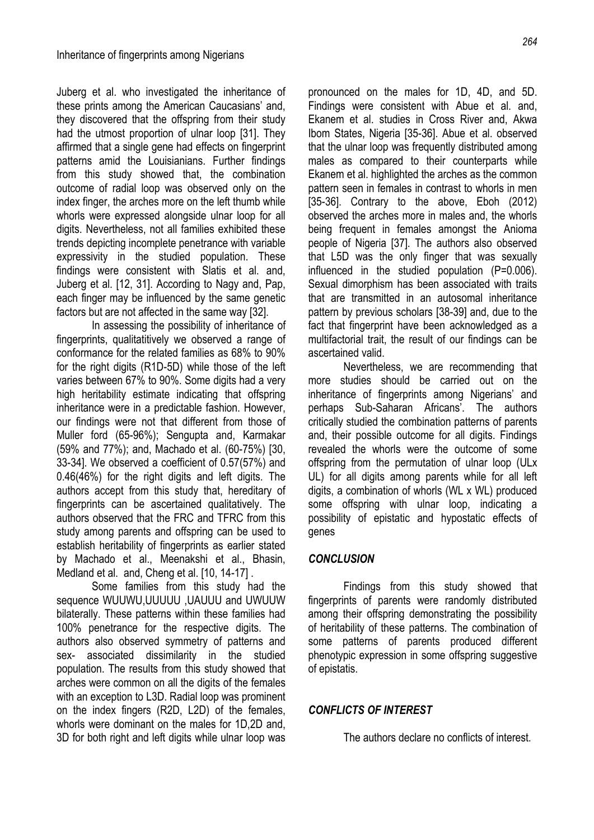Juberg et al. who investigated the inheritance of these prints among the American Caucasians' and, they discovered that the offspring from their study had the utmost proportion of ulnar loop [31]. They affirmed that a single gene had effects on fingerprint patterns amid the Louisianians. Further findings from this study showed that, the combination outcome of radial loop was observed only on the index finger, the arches more on the left thumb while whorls were expressed alongside ulnar loop for all digits. Nevertheless, not all families exhibited these trends depicting incomplete penetrance with variable expressivity in the studied population. These findings were consistent with Slatis et al. and, Juberg et al. [12, 31]. According to Nagy and, Pap, each finger may be influenced by the same genetic factors but are not affected in the same way [32].

In assessing the possibility of inheritance of fingerprints, qualitatitively we observed a range of conformance for the related families as 68% to 90% for the right digits (R1D-5D) while those of the left varies between 67% to 90%. Some digits had a very high heritability estimate indicating that offspring inheritance were in a predictable fashion. However, our findings were not that different from those of Muller ford (65-96%); Sengupta and, Karmakar (59% and 77%); and, Machado et al. (60-75%) [30, 33-34]. We observed a coefficient of 0.57(57%) and 0.46(46%) for the right digits and left digits. The authors accept from this study that, hereditary of fingerprints can be ascertained qualitatively. The authors observed that the FRC and TFRC from this study among parents and offspring can be used to establish heritability of fingerprints as earlier stated by Machado et al., Meenakshi et al., Bhasin, Medland et al. and, Cheng et al. [10, 14-17] .

Some families from this study had the sequence WUUWU,UUUUU ,UAUUU and UWUUW bilaterally. These patterns within these families had 100% penetrance for the respective digits. The authors also observed symmetry of patterns and sex- associated dissimilarity in the studied population. The results from this study showed that arches were common on all the digits of the females with an exception to L3D. Radial loop was prominent on the index fingers (R2D, L2D) of the females, whorls were dominant on the males for 1D,2D and, 3D for both right and left digits while ulnar loop was

pronounced on the males for 1D, 4D, and 5D. Findings were consistent with Abue et al. and, Ekanem et al. studies in Cross River and, Akwa Ibom States, Nigeria [35-36]. Abue et al. observed that the ulnar loop was frequently distributed among males as compared to their counterparts while Ekanem et al. highlighted the arches as the common pattern seen in females in contrast to whorls in men [35-36]. Contrary to the above, Eboh (2012) observed the arches more in males and, the whorls being frequent in females amongst the Anioma people of Nigeria [37]. The authors also observed that L5D was the only finger that was sexually influenced in the studied population (P=0.006). Sexual dimorphism has been associated with traits that are transmitted in an autosomal inheritance pattern by previous scholars [38-39] and, due to the fact that fingerprint have been acknowledged as a multifactorial trait, the result of our findings can be ascertained valid.

Nevertheless, we are recommending that more studies should be carried out on the inheritance of fingerprints among Nigerians' and perhaps Sub-Saharan Africans'. The authors critically studied the combination patterns of parents and, their possible outcome for all digits. Findings revealed the whorls were the outcome of some offspring from the permutation of ulnar loop (ULx UL) for all digits among parents while for all left digits, a combination of whorls (WL x WL) produced some offspring with ulnar loop, indicating a possibility of epistatic and hypostatic effects of genes

#### *CONCLUSION*

Findings from this study showed that fingerprints of parents were randomly distributed among their offspring demonstrating the possibility of heritability of these patterns. The combination of some patterns of parents produced different phenotypic expression in some offspring suggestive of epistatis.

#### *CONFLICTS OF INTEREST*

The authors declare no conflicts of interest.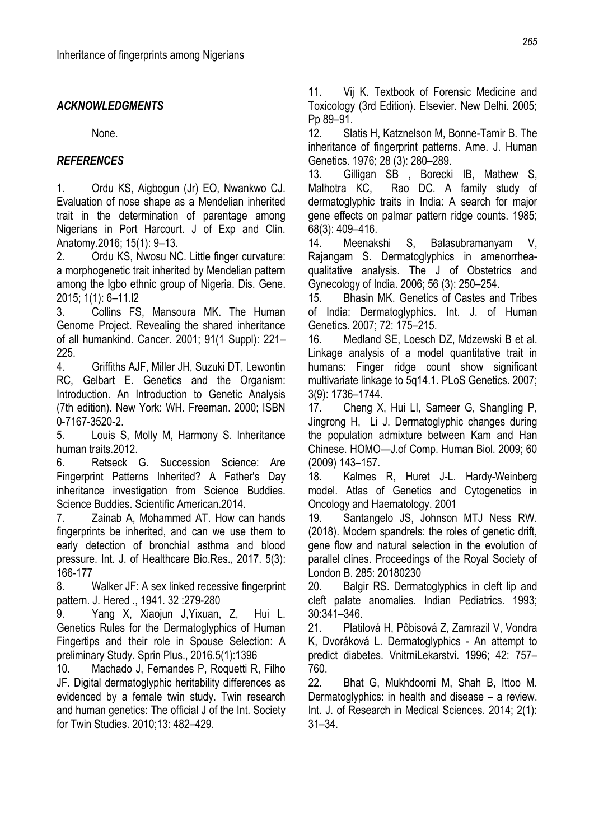# *ACKNOWLEDGMENTS*

None.

# *REFERENCES*

1. Ordu KS, Aigbogun (Jr) EO, Nwankwo CJ. Evaluation of nose shape as a Mendelian inherited trait in the determination of parentage among Nigerians in Port Harcourt. J of Exp and Clin. Anatomy.2016; 15(1): 9–13.

2. Ordu KS, Nwosu NC. Little finger curvature: a morphogenetic trait inherited by Mendelian pattern among the Igbo ethnic group of Nigeria. Dis. Gene. 2015; 1(1): 6–11.l2

3. Collins FS, Mansoura MK. The Human Genome Project. Revealing the shared inheritance of all humankind. Cancer. 2001; 91(1 Suppl): 221– 225.

4. Griffiths AJF, Miller JH, Suzuki DT, Lewontin RC, Gelbart E. Genetics and the Organism: Introduction. An Introduction to Genetic Analysis (7th edition). New York: WH. Freeman. 2000; ISBN 0-7167-3520-2.

5. Louis S, Molly M, Harmony S. Inheritance human traits.2012.

6. Retseck G. Succession Science: Are Fingerprint Patterns Inherited? A Father's Day inheritance investigation from Science Buddies. Science Buddies. Scientific American.2014.

7. Zainab A, Mohammed AT. How can hands fingerprints be inherited, and can we use them to early detection of bronchial asthma and blood pressure. Int. J. of Healthcare Bio.Res., 2017. 5(3): 166-177

8. Walker JF: A sex linked recessive fingerprint pattern. J. Hered ., 1941. 32 :279-280

9. Yang X, Xiaojun J,Yixuan, Z, Hui L. Genetics Rules for the Dermatoglyphics of Human Fingertips and their role in Spouse Selection: A preliminary Study. Sprin Plus., 2016.5(1):1396

10. Machado J, Fernandes P, Roquetti R, Filho JF. Digital dermatoglyphic heritability differences as evidenced by a female twin study. Twin research and human genetics: The official J of the Int. Society for Twin Studies. 2010;13: 482–429.

11. Vij K. Textbook of Forensic Medicine and Toxicology (3rd Edition). Elsevier. New Delhi. 2005; Pp 89–91.

12. Slatis H, Katznelson M, Bonne-Tamir B. The inheritance of fingerprint patterns. Ame. J. Human Genetics. 1976; 28 (3): 280–289.

13. Gilligan SB , Borecki IB, Mathew S, Malhotra KC, Rao DC. A family study of dermatoglyphic traits in India: A search for major gene effects on palmar pattern ridge counts. 1985; 68(3): 409–416.

14. Meenakshi S, Balasubramanyam V, Rajangam S. Dermatoglyphics in amenorrheaqualitative analysis. The J of Obstetrics and Gynecology of India. 2006; 56 (3): 250–254.

15. Bhasin MK. Genetics of Castes and Tribes of India: Dermatoglyphics. Int. J. of Human Genetics. 2007; 72: 175–215.

16. Medland SE, Loesch DZ, Mdzewski B et al. Linkage analysis of a model quantitative trait in humans: Finger ridge count show significant multivariate linkage to 5q14.1. PLoS Genetics. 2007; 3(9): 1736–1744.

17. Cheng X, Hui LI, Sameer G, Shangling P, Jingrong H, Li J. Dermatoglyphic changes during the population admixture between Kam and Han Chinese. HOMO—J.of Comp. Human Biol. 2009; 60 (2009) 143–157.

18. Kalmes R, Huret J-L. Hardy-Weinberg model. Atlas of Genetics and Cytogenetics in Oncology and Haematology. 2001

19. Santangelo JS, Johnson MTJ Ness RW. (2018). Modern spandrels: the roles of genetic drift, gene flow and natural selection in the evolution of parallel clines. Proceedings of the Royal Society of London B. 285: 20180230

20. Balgir RS. Dermatoglyphics in cleft lip and cleft palate anomalies. Indian Pediatrics. 1993; 30:341–346.

21. Platilová H, Pôbisová Z, Zamrazil V, Vondra K, Dvoráková L. Dermatoglyphics - An attempt to predict diabetes. VnitrniLekarstvi. 1996; 42: 757– 760.

22. Bhat G, Mukhdoomi M, Shah B, Ittoo M. Dermatoglyphics: in health and disease – a review. Int. J. of Research in Medical Sciences. 2014; 2(1): 31–34.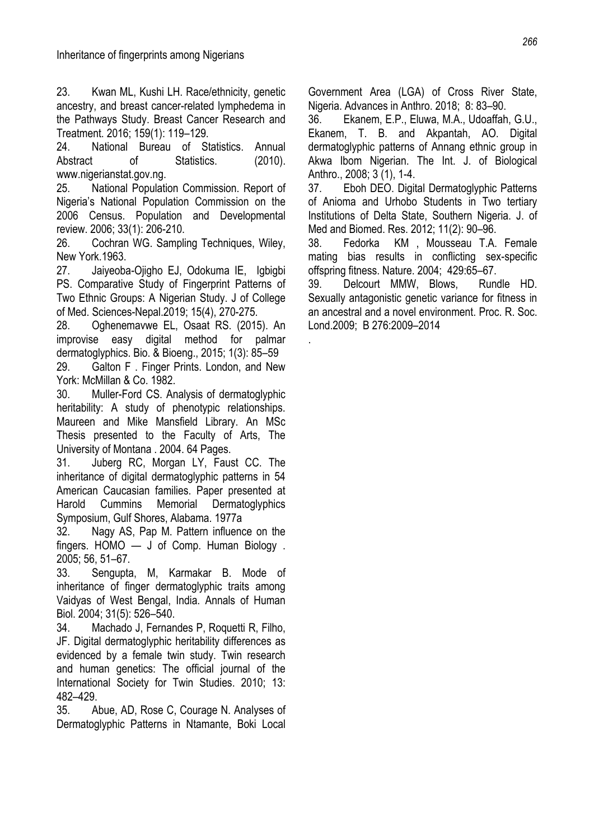23. Kwan ML, Kushi LH. Race/ethnicity, genetic ancestry, and breast cancer-related lymphedema in the Pathways Study. Breast Cancer Research and Treatment. 2016; 159(1): 119–129.

24. National Bureau of Statistics. Annual Abstract of Statistics. (2010). www.nigerianstat.gov.ng.

25. National Population Commission. Report of Nigeria's National Population Commission on the 2006 Census. Population and Developmental review. 2006; 33(1): 206-210.

26. Cochran WG. Sampling Techniques, Wiley, New York.1963.

27. Jaiyeoba-Ojigho EJ, Odokuma IE, Igbigbi PS. Comparative Study of Fingerprint Patterns of Two Ethnic Groups: A Nigerian Study. J of College of Med. Sciences-Nepal.2019; 15(4), 270-275.

28. Oghenemavwe EL, Osaat RS. (2015). An improvise easy digital method for palmar dermatoglyphics. Bio. & Bioeng., 2015; 1(3): 85–59

29. Galton F . Finger Prints. London, and New York: McMillan & Co. 1982.

30. Muller-Ford CS. Analysis of dermatoglyphic heritability: A study of phenotypic relationships. Maureen and Mike Mansfield Library. An MSc Thesis presented to the Faculty of Arts, The University of Montana . 2004. 64 Pages.

31. Juberg RC, Morgan LY, Faust CC. The inheritance of digital dermatoglyphic patterns in 54 American Caucasian families. Paper presented at Harold Cummins Memorial Dermatoglyphics Symposium, Gulf Shores, Alabama. 1977a

32. Nagy AS, Pap M. Pattern influence on the fingers. HOMO — J of Comp. Human Biology . 2005; 56, 51–67.

33. Sengupta, M, Karmakar B. Mode of inheritance of finger dermatoglyphic traits among Vaidyas of West Bengal, India. Annals of Human Biol. 2004; 31(5): 526–540.

34. Machado J, Fernandes P, Roquetti R, Filho, JF. Digital dermatoglyphic heritability differences as evidenced by a female twin study. Twin research and human genetics: The official journal of the International Society for Twin Studies. 2010; 13: 482–429.

35. Abue, AD, Rose C, Courage N. Analyses of Dermatoglyphic Patterns in Ntamante, Boki Local Government Area (LGA) of Cross River State, Nigeria. Advances in Anthro. 2018; 8: 83–90.

36. Ekanem, E.P., Eluwa, M.A., Udoaffah, G.U., Ekanem, T. B. and Akpantah, AO. Digital dermatoglyphic patterns of Annang ethnic group in Akwa Ibom Nigerian. The Int. J. of Biological Anthro., 2008; 3 (1), 1-4.

37. Eboh DEO. Digital Dermatoglyphic Patterns of Anioma and Urhobo Students in Two tertiary Institutions of Delta State, Southern Nigeria. J. of Med and Biomed. Res. 2012; 11(2): 90–96.

38. Fedorka KM , Mousseau T.A. Female mating bias results in conflicting sex-specific offspring fitness. Nature. 2004; 429:65–67.

39. Delcourt MMW, Blows, Rundle HD. Sexually antagonistic genetic variance for fitness in an ancestral and a novel environment. Proc. R. Soc. Lond.2009; B 276:2009–2014

.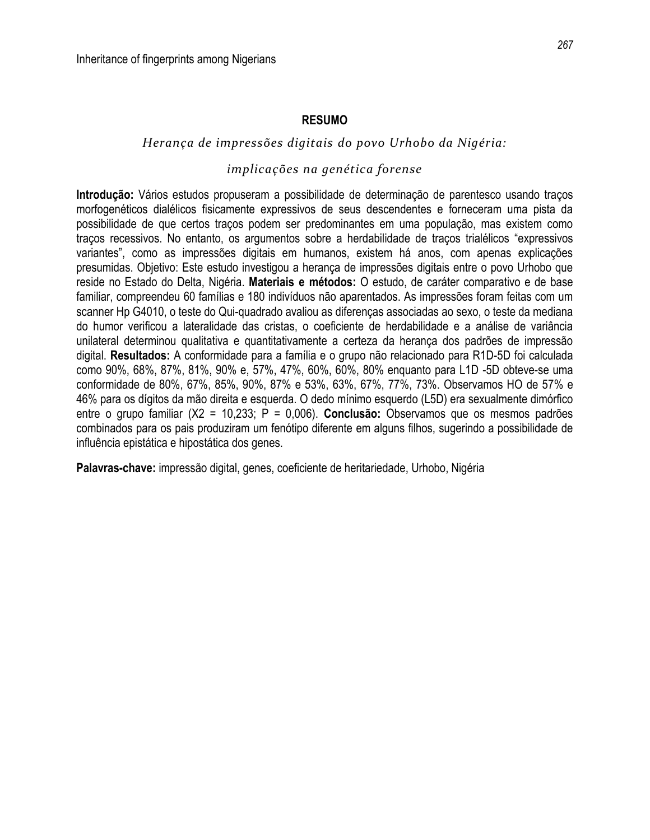#### **RESUMO**

#### *Herança de impressões digitais do povo Urhobo da Nigéria:*

### *implicações na genética forense*

**Introdução:** Vários estudos propuseram a possibilidade de determinação de parentesco usando traços morfogenéticos dialélicos fisicamente expressivos de seus descendentes e forneceram uma pista da possibilidade de que certos traços podem ser predominantes em uma população, mas existem como traços recessivos. No entanto, os argumentos sobre a herdabilidade de traços trialélicos "expressivos variantes", como as impressões digitais em humanos, existem há anos, com apenas explicações presumidas. Objetivo: Este estudo investigou a herança de impressões digitais entre o povo Urhobo que reside no Estado do Delta, Nigéria. **Materiais e métodos:** O estudo, de caráter comparativo e de base familiar, compreendeu 60 famílias e 180 indivíduos não aparentados. As impressões foram feitas com um scanner Hp G4010, o teste do Qui-quadrado avaliou as diferenças associadas ao sexo, o teste da mediana do humor verificou a lateralidade das cristas, o coeficiente de herdabilidade e a análise de variância unilateral determinou qualitativa e quantitativamente a certeza da herança dos padrões de impressão digital. **Resultados:** A conformidade para a família e o grupo não relacionado para R1D-5D foi calculada como 90%, 68%, 87%, 81%, 90% e, 57%, 47%, 60%, 60%, 80% enquanto para L1D -5D obteve-se uma conformidade de 80%, 67%, 85%, 90%, 87% e 53%, 63%, 67%, 77%, 73%. Observamos HO de 57% e 46% para os dígitos da mão direita e esquerda. O dedo mínimo esquerdo (L5D) era sexualmente dimórfico entre o grupo familiar (X2 = 10,233; P = 0,006). **Conclusão:** Observamos que os mesmos padrões combinados para os pais produziram um fenótipo diferente em alguns filhos, sugerindo a possibilidade de influência epistática e hipostática dos genes.

**Palavras-chave:** impressão digital, genes, coeficiente de heritariedade, Urhobo, Nigéria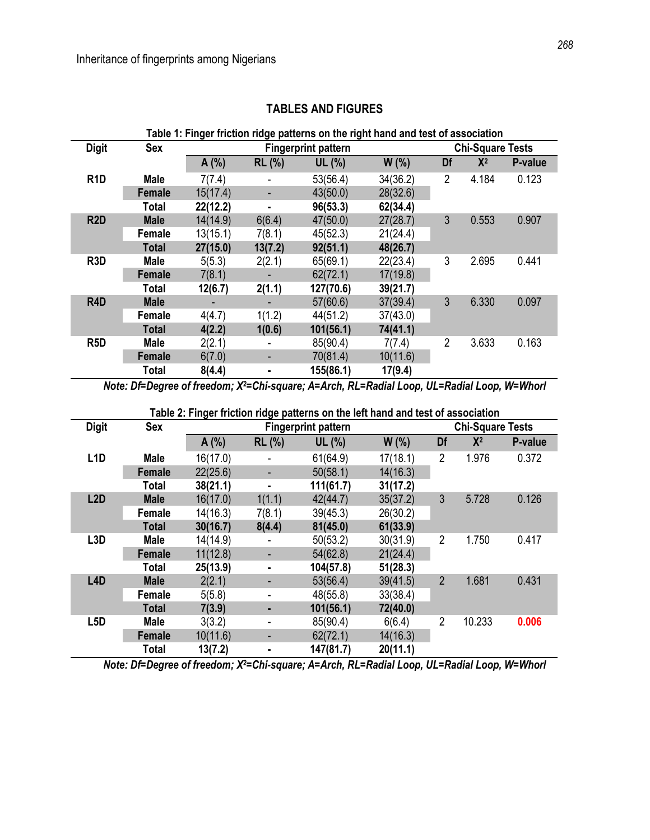| <b>Digit</b>     | <b>Sex</b>   | <u>ania ili iliyofililaridir</u> |                | <b>Fingerprint pattern</b> |          |                | <b>Chi-Square Tests</b> |         |
|------------------|--------------|----------------------------------|----------------|----------------------------|----------|----------------|-------------------------|---------|
|                  |              | A(%)                             | <b>RL</b> (%)  | UL(%)                      | W(% )    | Df             | $X^2$                   | P-value |
| R <sub>1</sub> D | <b>Male</b>  | 7(7.4)                           |                | 53(56.4)                   | 34(36.2) | $\overline{2}$ | 4.184                   | 0.123   |
|                  | Female       | 15(17.4)                         |                | 43(50.0)                   | 28(32.6) |                |                         |         |
|                  | <b>Total</b> | 22(12.2)                         | $\blacksquare$ | 96(53.3)                   | 62(34.4) |                |                         |         |
| R <sub>2</sub> D | <b>Male</b>  | 14(14.9)                         | 6(6.4)         | 47(50.0)                   | 27(28.7) | 3              | 0.553                   | 0.907   |
|                  | Female       | 13(15.1)                         | 7(8.1)         | 45(52.3)                   | 21(24.4) |                |                         |         |
|                  | <b>Total</b> | 27(15.0)                         | 13(7.2)        | 92(51.1)                   | 48(26.7) |                |                         |         |
| R <sub>3</sub> D | <b>Male</b>  | 5(5.3)                           | 2(2.1)         | 65(69.1)                   | 22(23.4) | 3              | 2.695                   | 0.441   |
|                  | Female       | 7(8.1)                           |                | 62(72.1)                   | 17(19.8) |                |                         |         |
|                  | <b>Total</b> | 12(6.7)                          | 2(1.1)         | 127(70.6)                  | 39(21.7) |                |                         |         |
| R <sub>4</sub> D | <b>Male</b>  |                                  |                | 57(60.6)                   | 37(39.4) | 3              | 6.330                   | 0.097   |
|                  | Female       | 4(4.7)                           | 1(1.2)         | 44(51.2)                   | 37(43.0) |                |                         |         |
|                  | <b>Total</b> | 4(2.2)                           | 1(0.6)         | 101(56.1)                  | 74(41.1) |                |                         |         |
| R <sub>5</sub> D | <b>Male</b>  | 2(2.1)                           |                | 85(90.4)                   | 7(7.4)   | $\overline{2}$ | 3.633                   | 0.163   |
|                  | Female       | 6(7.0)                           | ۰              | 70(81.4)                   | 10(11.6) |                |                         |         |
|                  | <b>Total</b> | 8(4.4)                           | ٠              | 155(86.1)                  | 17(9.4)  |                |                         |         |

## **TABLES AND FIGURES**

**Table 1: Finger friction ridge patterns on the right hand and test of association**

*Note: Df=Degree of freedom; X2=Chi-square; A=Arch, RL=Radial Loop, UL=Radial Loop, W=Whorl*

**Table 2: Finger friction ridge patterns on the left hand and test of association**

| <b>Digit</b>     | <b>Sex</b>            |          |               | rapid 2. milyon modern mago padomo on dio ion nana ana loot of abbooladon<br><b>Fingerprint pattern</b> |          |                | <b>Chi-Square Tests</b> |         |
|------------------|-----------------------|----------|---------------|---------------------------------------------------------------------------------------------------------|----------|----------------|-------------------------|---------|
|                  |                       | A(%)     | <b>RL</b> (%) | UL $(%)$                                                                                                | W(% )    | Df             | $X^2$                   | P-value |
| L <sub>1</sub> D | <b>Male</b>           | 16(17.0) |               | 61(64.9)                                                                                                | 17(18.1) | $\overline{2}$ | 1.976                   | 0.372   |
|                  | Female                | 22(25.6) | ۰             | 50(58.1)                                                                                                | 14(16.3) |                |                         |         |
|                  | Total                 | 38(21.1) | ٠             | 111(61.7)                                                                                               | 31(17.2) |                |                         |         |
| L2D              | <b>Male</b><br>Female | 16(17.0) | 1(1.1)        | 42(44.7)                                                                                                | 35(37.2) | 3              | 5.728                   | 0.126   |
|                  |                       | 14(16.3) | 7(8.1)        | 39(45.3)                                                                                                | 26(30.2) |                |                         |         |
|                  | <b>Total</b>          | 30(16.7) | 8(4.4)        | 81(45.0)                                                                                                | 61(33.9) |                |                         |         |
| L <sub>3</sub> D | <b>Male</b>           | 14(14.9) |               | 50(53.2)                                                                                                | 30(31.9) | $\overline{2}$ | 1.750                   | 0.417   |
|                  | <b>Female</b>         | 11(12.8) | ٠             | 54(62.8)                                                                                                | 21(24.4) |                |                         |         |
|                  | <b>Total</b>          | 25(13.9) | ۰             | 104(57.8)                                                                                               | 51(28.3) |                |                         |         |
| L <sub>4</sub> D | <b>Male</b>           | 2(2.1)   | ٠             | 53(56.4)                                                                                                | 39(41.5) | $\overline{2}$ | 1.681                   | 0.431   |
|                  | Female                | 5(5.8)   | ٠             | 48(55.8)                                                                                                | 33(38.4) |                |                         |         |
|                  | <b>Total</b>          | 7(3.9)   | ٠             | 101(56.1)                                                                                               | 72(40.0) |                |                         |         |
| L <sub>5</sub> D | <b>Male</b>           | 3(3.2)   | ۰             | 85(90.4)                                                                                                | 6(6.4)   | $\overline{2}$ | 10.233                  | 0.006   |
|                  | Female                | 10(11.6) | ٠             | 62(72.1)                                                                                                | 14(16.3) |                |                         |         |
|                  | <b>Total</b>          | 13(7.2)  | ۰             | 147(81.7)                                                                                               | 20(11.1) |                |                         |         |

*Note: Df=Degree of freedom; X2=Chi-square; A=Arch, RL=Radial Loop, UL=Radial Loop, W=Whorl*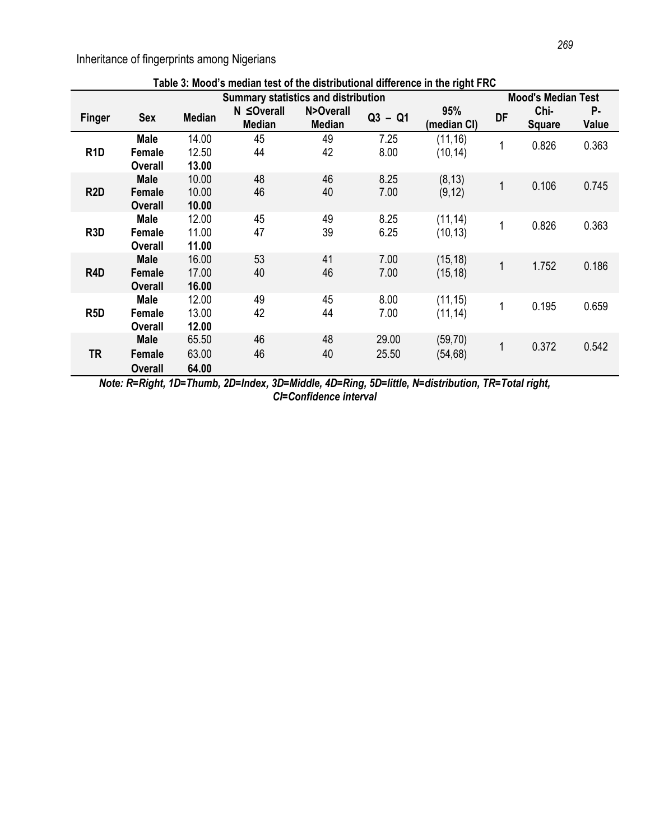Inheritance of fingerprints among Nigerians

|                  |                                         |                         | Table 3: Mood's median test of the distributional difference in the right FRC |                            |                |                      |    |                           |             |
|------------------|-----------------------------------------|-------------------------|-------------------------------------------------------------------------------|----------------------------|----------------|----------------------|----|---------------------------|-------------|
|                  |                                         |                         | <b>Summary statistics and distribution</b>                                    |                            |                |                      |    | <b>Mood's Median Test</b> |             |
| <b>Finger</b>    | <b>Sex</b>                              | <b>Median</b>           | N ≤Overall<br><b>Median</b>                                                   | N>Overall<br><b>Median</b> | $Q3 - Q1$      | 95%<br>(median CI)   | DF | Chi-<br><b>Square</b>     | Р.<br>Value |
| R <sub>1</sub> D | <b>Male</b><br>Female<br><b>Overall</b> | 14.00<br>12.50<br>13.00 | 45<br>44                                                                      | 49<br>42                   | 7.25<br>8.00   | (11, 16)<br>(10, 14) |    | 0.826                     | 0.363       |
| R <sub>2</sub> D | <b>Male</b><br>Female<br>Overall        | 10.00<br>10.00<br>10.00 | 48<br>46                                                                      | 46<br>40                   | 8.25<br>7.00   | (8, 13)<br>(9, 12)   | 1  | 0.106                     | 0.745       |
| R <sub>3</sub> D | <b>Male</b><br>Female<br><b>Overall</b> | 12.00<br>11.00<br>11.00 | 45<br>47                                                                      | 49<br>39                   | 8.25<br>6.25   | (11, 14)<br>(10, 13) | 1  | 0.826                     | 0.363       |
| R4D              | <b>Male</b><br>Female<br>Overall        | 16.00<br>17.00<br>16.00 | 53<br>40                                                                      | 41<br>46                   | 7.00<br>7.00   | (15, 18)<br>(15, 18) | 1  | 1.752                     | 0.186       |
| R <sub>5</sub> D | <b>Male</b><br>Female<br>Overall        | 12.00<br>13.00<br>12.00 | 49<br>42                                                                      | 45<br>44                   | 8.00<br>7.00   | (11, 15)<br>(11, 14) | 1  | 0.195                     | 0.659       |
| <b>TR</b>        | <b>Male</b><br>Female<br>Overall        | 65.50<br>63.00<br>64.00 | 46<br>46                                                                      | 48<br>40                   | 29.00<br>25.50 | (59, 70)<br>(54, 68) | 1  | 0.372                     | 0.542       |

*Note: R=Right, 1D=Thumb, 2D=Index, 3D=Middle, 4D=Ring, 5D=little, N=distribution, TR=Total right, CI=Confidence interval*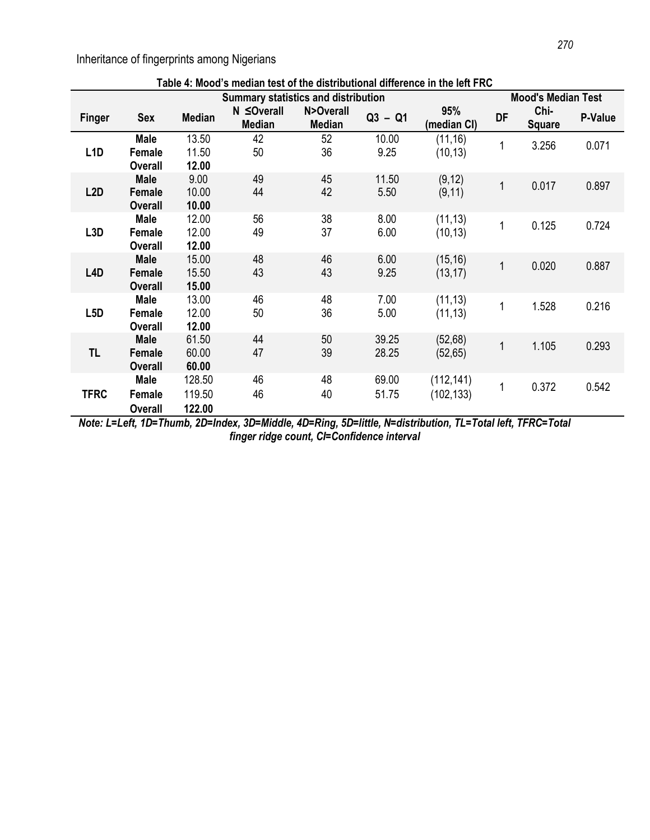Inheritance of fingerprints among Nigerians

|                  |                                         |                            | Table 4: Mood's median test of the distributional difference in the left FRC |                            |                |                          |              |                           |         |
|------------------|-----------------------------------------|----------------------------|------------------------------------------------------------------------------|----------------------------|----------------|--------------------------|--------------|---------------------------|---------|
|                  |                                         |                            | <b>Summary statistics and distribution</b>                                   |                            |                |                          |              | <b>Mood's Median Test</b> |         |
| <b>Finger</b>    | <b>Sex</b>                              | <b>Median</b>              | N ≤Overall<br><b>Median</b>                                                  | N>Overall<br><b>Median</b> | $Q3 - Q1$      | 95%<br>(median CI)       | <b>DF</b>    | Chi-<br><b>Square</b>     | P-Value |
| L <sub>1</sub> D | <b>Male</b><br>Female<br><b>Overall</b> | 13.50<br>11.50<br>12.00    | 42<br>50                                                                     | 52<br>36                   | 10.00<br>9.25  | (11, 16)<br>(10, 13)     | $\mathbf{1}$ | 3.256                     | 0.071   |
| L2D              | <b>Male</b><br>Female<br><b>Overall</b> | 9.00<br>10.00<br>10.00     | 49<br>44                                                                     | 45<br>42                   | 11.50<br>5.50  | (9, 12)<br>(9, 11)       | $\mathbf{1}$ | 0.017                     | 0.897   |
| L <sub>3</sub> D | <b>Male</b><br>Female<br><b>Overall</b> | 12.00<br>12.00<br>12.00    | 56<br>49                                                                     | 38<br>37                   | 8.00<br>6.00   | (11, 13)<br>(10, 13)     | 1            | 0.125                     | 0.724   |
| L <sub>4</sub> D | <b>Male</b><br>Female<br><b>Overall</b> | 15.00<br>15.50<br>15.00    | 48<br>43                                                                     | 46<br>43                   | 6.00<br>9.25   | (15, 16)<br>(13, 17)     | $\mathbf 1$  | 0.020                     | 0.887   |
| L <sub>5</sub> D | <b>Male</b><br>Female<br><b>Overall</b> | 13.00<br>12.00<br>12.00    | 46<br>50                                                                     | 48<br>36                   | 7.00<br>5.00   | (11, 13)<br>(11, 13)     | 1            | 1.528                     | 0.216   |
| TL               | <b>Male</b><br>Female<br><b>Overall</b> | 61.50<br>60.00<br>60.00    | 44<br>47                                                                     | 50<br>39                   | 39.25<br>28.25 | (52,68)<br>(52, 65)      | $\mathbf{1}$ | 1.105                     | 0.293   |
| <b>TFRC</b>      | <b>Male</b><br>Female<br><b>Overall</b> | 128.50<br>119.50<br>122.00 | 46<br>46                                                                     | 48<br>40                   | 69.00<br>51.75 | (112, 141)<br>(102, 133) | $\mathbf{1}$ | 0.372                     | 0.542   |

*Note: L=Left, 1D=Thumb, 2D=Index, 3D=Middle, 4D=Ring, 5D=little, N=distribution, TL=Total left, TFRC=Total finger ridge count, CI=Confidence interval*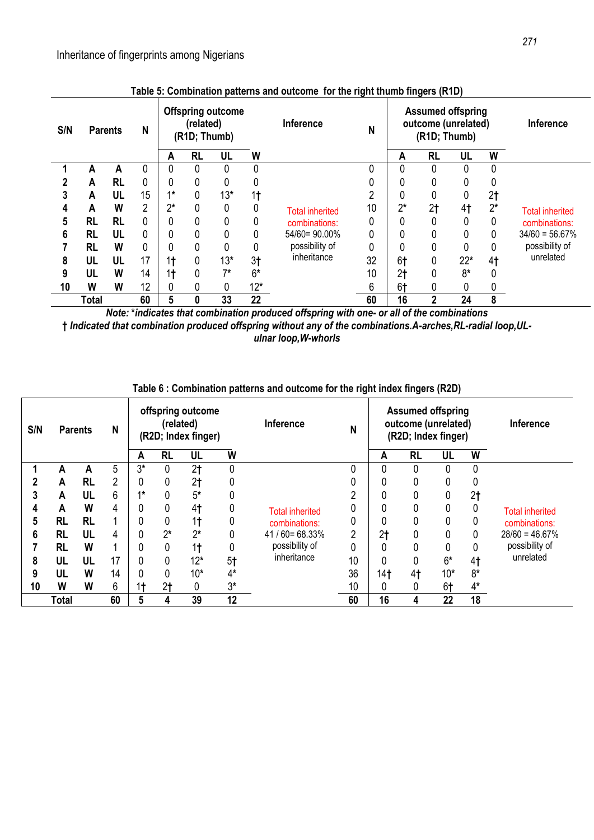| S/N | <b>Parents</b> |           | N              |                | (related)<br>(R1D; Thumb) | <b>Offspring outcome</b> |                | Inference              | N  |                | <b>Assumed offspring</b><br>outcome (unrelated)<br>(R1D; Thumb) |                |                | <b>Inference</b>       |
|-----|----------------|-----------|----------------|----------------|---------------------------|--------------------------|----------------|------------------------|----|----------------|-----------------------------------------------------------------|----------------|----------------|------------------------|
|     |                |           |                | A              | <b>RL</b>                 | UL                       | W              |                        |    | A              | <b>RL</b>                                                       | UL             | W              |                        |
|     | А              | А         | 0              |                | 0                         | 0                        | 0              |                        |    |                |                                                                 | 0              | 0              |                        |
|     | A              | <b>RL</b> | 0              | 0              | 0                         | 0                        | 0              |                        |    |                |                                                                 | 0              | 0              |                        |
|     | A              | UL        | 15             | $4*$           | 0                         | $13*$                    | 1 <sub>t</sub> |                        | ∩  |                |                                                                 |                | 2 <sub>1</sub> |                        |
| 4   | A              | W         | $\overline{2}$ | $2^*$          | 0                         | 0                        | 0              | <b>Total inherited</b> | 10 | $2^*$          | 2 <sub>t</sub>                                                  | 4 <sub>1</sub> | $2^*$          | <b>Total inherited</b> |
|     | <b>RL</b>      | <b>RL</b> | 0              |                | 0                         | 0                        | 0              | combinations:          | 0  |                |                                                                 | 0              | 0              | combinations:          |
| 6   | <b>RL</b>      | UL        | 0              |                | 0                         | 0                        | 0              | 54/60=90.00%           | 0  |                |                                                                 |                | 0              | $34/60 = 56.67\%$      |
|     | <b>RL</b>      | W         | 0              |                | 0                         | 0                        | 0              | possibility of         | 0  |                | 0                                                               | 0              | 0              | possibility of         |
| 8   | UL             | UL        | 17             | 1 <sub>t</sub> | 0                         | $13*$                    | 3 <sub>1</sub> | inheritance            | 32 | 6†             |                                                                 | $22*$          | 4 <sub>1</sub> | unrelated              |
| 9   | UL             | W         | 14             | 1 <sub>t</sub> | 0                         | $7*$                     | $6*$           |                        | 10 | 2 <sub>t</sub> |                                                                 | $8*$           | 0              |                        |
| 10  | W              | W         | 12             |                | 0                         | 0                        | $12*$          |                        | 6  | 6 <sup>†</sup> | 0                                                               |                | 0              |                        |
|     | Total          |           | 60             | 5              | 0                         | 33                       | 22             |                        | 60 | 16             | $\overline{2}$                                                  | 24             | 8              |                        |

**Table 5: Combination patterns and outcome for the right thumb fingers (R1D)**

*Note:* **\****indicates that combination produced offspring with one- or all of the combinations* **†** *Indicated that combination produced offspring without any of the combinations.A-arches,RL-radial loop,ULulnar loop,W-whorls*

| S/N | <b>Parents</b> |           | N              |      | offspring outcome<br>(related)<br>(R2D; Index finger)<br><b>RL</b><br>W<br>UL<br>Α |                |                | <b>Inference</b>       | N  |                 | <b>Assumed offspring</b><br>outcome (unrelated)<br>(R2D; Index finger) |          |                | <b>Inference</b>       |
|-----|----------------|-----------|----------------|------|------------------------------------------------------------------------------------|----------------|----------------|------------------------|----|-----------------|------------------------------------------------------------------------|----------|----------------|------------------------|
|     |                |           |                |      |                                                                                    |                |                |                        |    | Α               | <b>RL</b>                                                              | UL       | W              |                        |
|     | A              | А         | 5              | $3*$ | 0                                                                                  | 2 <sub>t</sub> | 0              |                        |    | 0               |                                                                        | $\Omega$ | 0              |                        |
|     | A              | <b>RL</b> | $\overline{2}$ | 0    |                                                                                    | 2 <sub>1</sub> | 0              |                        |    |                 |                                                                        |          | 0              |                        |
| 3   | A              | UL        | 6              | $4*$ |                                                                                    | $5*$           | 0              |                        | ∩  |                 |                                                                        |          | 2 <sub>1</sub> |                        |
| 4   | A              | W         | 4              | 0    |                                                                                    | 4 <sub>1</sub> | 0              | <b>Total inherited</b> |    |                 |                                                                        |          | 0              | <b>Total inherited</b> |
| 5   | <b>RL</b>      | <b>RL</b> |                | 0    |                                                                                    | 1 <sub>t</sub> | 0              | combinations:          |    |                 |                                                                        |          |                | combinations:          |
| 6   | <b>RL</b>      | UL        | 4              | 0    | $2^*$                                                                              | $2^*$          | 0              | $41/60 = 68.33%$       | ŋ  | 2 <sub>t</sub>  |                                                                        |          | 0              | $28/60 = 46.67\%$      |
|     | <b>RL</b>      | W         |                | 0    |                                                                                    | 1 <sub>t</sub> | 0              | possibility of         | 0  |                 |                                                                        |          | 0              | possibility of         |
| 8   | UL             | UL        | 17             | 0    | 0                                                                                  | $12*$          | 5 <sup>†</sup> | inheritance            | 10 |                 |                                                                        | $6*$     | 4 <sub>1</sub> | unrelated              |
| 9   | UL             | W         | 14             | 0    |                                                                                    | $10*$          | $4*$           |                        | 36 | 14 <sub>1</sub> | 4 <sub>1</sub>                                                         | $10*$    | $8*$           |                        |
| 10  | W              | W         | 6              | 1†   | 2t                                                                                 | 0              | $3*$           |                        | 10 |                 |                                                                        | 6t       | $4*$           |                        |
|     | Total          |           | 60             | 5    | 4                                                                                  | 39             | 12             |                        | 60 | 16              | 4                                                                      | 22       | 18             |                        |

## **Table 6 : Combination patterns and outcome for the right index fingers (R2D)**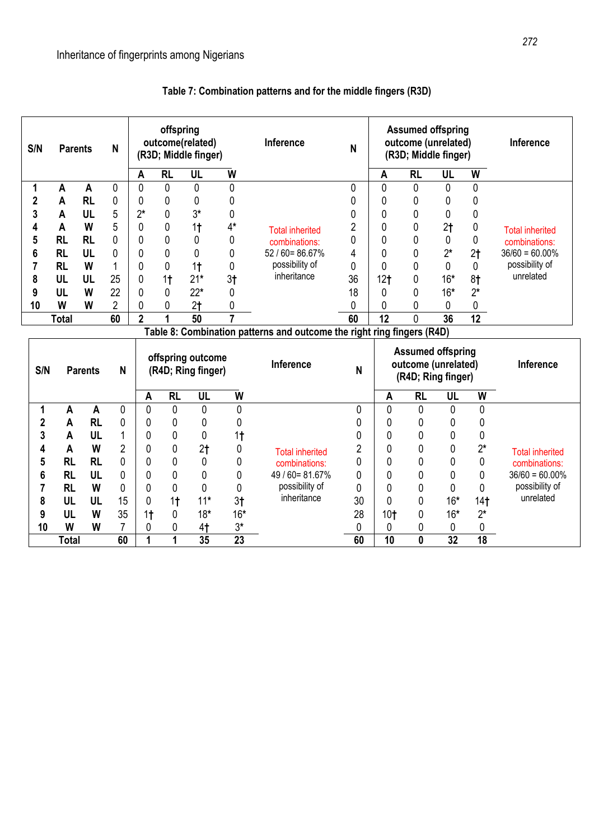| S/N            | <b>Parents</b> |                | N              |                | offspring      | outcome(related)<br>(R3D; Middle finger) |                | Inference                                                              | N           |                 | <b>Assumed offspring</b><br>outcome (unrelated)<br>(R3D; Middle finger) |                |                 | Inference                               |
|----------------|----------------|----------------|----------------|----------------|----------------|------------------------------------------|----------------|------------------------------------------------------------------------|-------------|-----------------|-------------------------------------------------------------------------|----------------|-----------------|-----------------------------------------|
|                |                |                |                | A              | <b>RL</b>      | UL                                       | W              |                                                                        |             | A               | <b>RL</b>                                                               | UL             | W               |                                         |
| 1              | A              | A              | 0              | $\mathbf 0$    | $\mathbf{0}$   | $\mathbf 0$                              | 0              |                                                                        | 0           | $\mathbf{0}$    | $\mathbf{0}$                                                            | $\mathbf 0$    | $\mathbf{0}$    |                                         |
| $\mathbf 2$    | A              | <b>RL</b>      | 0              | 0              | 0              | 0                                        | 0              |                                                                        | 0           | 0               | 0                                                                       | 0              | $\theta$        |                                         |
| 3              | A              | UL             | 5              | $2^*$          | $\mathbf{0}$   | $3*$                                     | 0              |                                                                        | 0           | 0               | $\mathbf 0$                                                             | 0              | 0               |                                         |
| 4              | A              | W              | 5              | $\mathbf{0}$   | $\mathbf{0}$   | 1 <sub>t</sub>                           | $4*$           | <b>Total inherited</b>                                                 | 2           | 0               | 0                                                                       | 2 <sub>1</sub> | 0               | <b>Total inherited</b>                  |
| 5              | <b>RL</b>      | <b>RL</b>      | 0              | $\mathbf 0$    | $\mathbf 0$    | $\mathbf 0$                              | 0              | combinations:                                                          | 0           | 0               | 0                                                                       | 0              | 0               | combinations:                           |
| 6              | <b>RL</b>      | UL             | 0              | $\mathbf 0$    | $\mathbf 0$    | $\mathbf 0$                              | 0              | $52/60 = 86.67%$                                                       | 4           | 0               | 0                                                                       | $2^*$          | 2 <sub>t</sub>  | $36/60 = 60.00\%$                       |
| 7              | <b>RL</b>      | W              | $\mathbf 1$    | $\mathbf 0$    | $\mathbf 0$    | 1 <sub>t</sub>                           | 0              | possibility of                                                         | $\mathbf 0$ | 0               | 0                                                                       | 0              | 0               | possibility of                          |
| 8              | UL             | UL             | 25             | $\mathbf 0$    | 1 <sub>t</sub> | $21*$                                    | 3 <sub>†</sub> | inheritance                                                            | 36          | 12 <sub>t</sub> | 0                                                                       | $16*$          | 8 <sub>†</sub>  | unrelated                               |
| 9              | UL             | W              | 22             | $\mathbf 0$    | 0              | $22*$                                    | 0              |                                                                        | 18          | 0               | 0                                                                       | $16*$          | $2^*$           |                                         |
| 10             | W              | W              | $\overline{2}$ | $\mathbf 0$    | 0              | 2 <sub>t</sub>                           | 0              |                                                                        | 0           | 0               | 0                                                                       | 0              | 0               |                                         |
|                | <b>Total</b>   |                | 60             | $\overline{2}$ | 1              | 50                                       | $\overline{7}$ |                                                                        | 60          | 12              | $\Omega$                                                                | 36             | $\overline{12}$ |                                         |
|                |                |                |                |                |                |                                          |                | Table 8: Combination patterns and outcome the right ring fingers (R4D) |             |                 |                                                                         |                |                 |                                         |
|                |                |                |                |                |                |                                          |                |                                                                        |             |                 |                                                                         |                |                 |                                         |
| S/N            |                | <b>Parents</b> | N              |                |                | offspring outcome<br>(R4D; Ring finger)  |                | Inference                                                              | N           |                 | <b>Assumed offspring</b><br>outcome (unrelated)<br>(R4D; Ring finger)   |                |                 | Inference                               |
|                |                |                |                | A              | <b>RL</b>      | UL                                       | W              |                                                                        |             | A               | <b>RL</b>                                                               | UL             | W               |                                         |
| 1              | $\mathsf{A}$   | $\overline{A}$ | $\mathbf{0}$   | $\mathbf{0}$   | $\mathbf{0}$   | $\mathbf{0}$                             | 0              |                                                                        | 0           | $\overline{0}$  | $\overline{0}$                                                          | $\mathbf 0$    | 0               |                                         |
| $\overline{2}$ | A              | <b>RL</b>      | 0              | 0              | 0              | $\mathbf 0$                              | 0              |                                                                        | 0           | $\mathbf 0$     | 0                                                                       | 0              | 0               |                                         |
| 3              | A              | UL             | 1              | 0              | $\mathbf 0$    | 0                                        | 1 <sub>†</sub> |                                                                        | 0           | 0               | 0                                                                       | 0              | 0               |                                         |
| 4              | A              | W              | $\overline{2}$ | 0              | 0              | 2 <sub>t</sub>                           | 0              |                                                                        | 2           | 0               | 0                                                                       | 0              | $2^*$           |                                         |
| 5              | <b>RL</b>      | <b>RL</b>      | $\mathbf{0}$   | 0              | 0              | 0                                        | 0              | <b>Total inherited</b><br>combinations:                                | 0           | 0               | 0                                                                       | 0              | 0               | <b>Total inherited</b><br>combinations: |
| 6              | <b>RL</b>      | UL             | $\mathbf 0$    | 0              | $\mathbf 0$    | $\mathbf 0$                              | 0              | 49 / 60 = 81.67%                                                       | 0           | 0               | 0                                                                       | 0              | 0               | $36/60 = 60.00\%$                       |
| 7              | <b>RL</b>      | W              | $\mathbf 0$    | 0              | 0              | 0                                        | 0              | possibility of                                                         | 0           | 0               | 0                                                                       | 0              | 0               | possibility of                          |
| 8              | <b>UL</b>      | UL             | 15             | 0              | 1 <sub>t</sub> | $11*$                                    | 3 <sub>1</sub> | inheritance                                                            | 30          | 0               | 0                                                                       | $16*$          | 14 <sub>1</sub> | unrelated                               |
| 9              | UL             | W              | 35             | 1 <sub>t</sub> | 0              | $18*$                                    | $16*$          |                                                                        | 28          | $10+$           | 0                                                                       | $16*$          | $2^*$           |                                         |
| 10             | W              | W              | 7              | 0              | 0              | 4 <sub>1</sub>                           | $3*$<br>23     |                                                                        | 0           | 0               | 0                                                                       | 0<br>32        | 0<br>18         |                                         |

# **Table 7: Combination patterns and for the middle fingers (R3D)**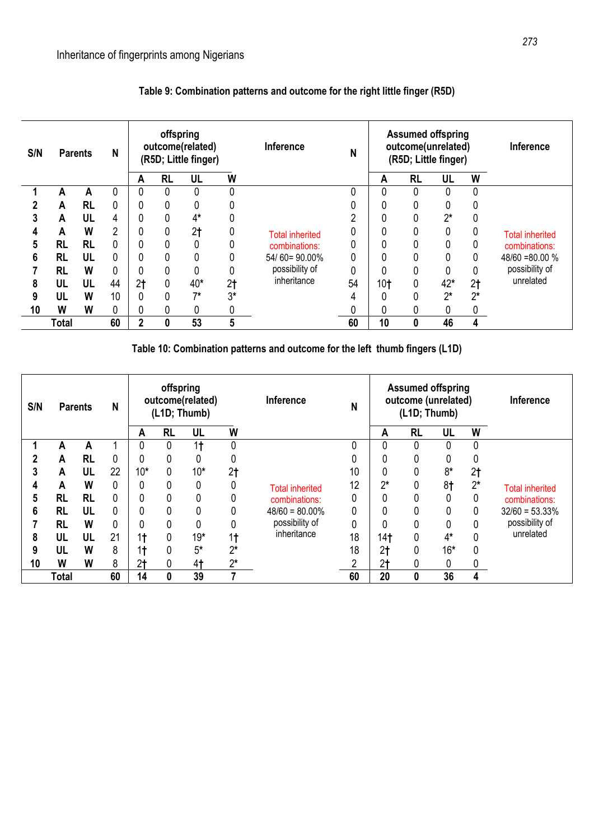| S/N | <b>Parents</b> |           | N              |                | offspring | outcome(related)<br>(R5D; Little finger) |                | <b>Inference</b>       | N  |                 | <b>Assumed offspring</b><br>outcome(unrelated)<br>(R5D; Little finger) |       |                | <b>Inference</b>       |
|-----|----------------|-----------|----------------|----------------|-----------|------------------------------------------|----------------|------------------------|----|-----------------|------------------------------------------------------------------------|-------|----------------|------------------------|
|     |                |           |                | A              | <b>RL</b> | UL                                       | W              |                        |    | A               | <b>RL</b>                                                              | UL    | W              |                        |
|     | А              | А         |                | 0              | 0         |                                          | 0              |                        |    | 0               | 0                                                                      |       | 0              |                        |
|     | A              | <b>RL</b> | 0              | 0              |           | 0                                        | 0              |                        |    |                 |                                                                        |       | 0              |                        |
|     | A              | UL        | 4              | 0              |           | 4*                                       | 0              |                        | ົ  |                 |                                                                        | $2^*$ |                |                        |
| 4   | A              | W         | $\overline{2}$ | 0              |           | 2 <sub>t</sub>                           | 0              | <b>Total inherited</b> |    |                 |                                                                        | 0     | υ              | <b>Total inherited</b> |
| 5   | <b>RL</b>      | <b>RL</b> | 0              | 0              |           |                                          | 0              | combinations:          |    |                 |                                                                        | 0     | 0              | combinations:          |
| 6   | <b>RL</b>      | UL        | 0              | 0              |           |                                          | 0              | 54/60=90.00%           |    |                 |                                                                        |       | 0              | $48/60 = 80.00 %$      |
|     | <b>RL</b>      | W         | 0              | 0              | 0         |                                          | 0              | possibility of         | 0  |                 |                                                                        | 0     | 0              | possibility of         |
| 8   | UL             | UL        | 44             | 2 <sub>t</sub> | 0         | 40*                                      | 2 <sub>1</sub> | inheritance            | 54 | 10 <sub>t</sub> | 0                                                                      | 42*   | 2 <sub>1</sub> | unrelated              |
| 9   | UL             | W         | 10             | 0              |           | $7*$                                     | $3*$           |                        |    |                 |                                                                        | ባ*    | $2^*$          |                        |
| 10  | W              | W         | 0              | 0              |           |                                          | 0              |                        |    |                 |                                                                        |       | 0              |                        |
|     | Total          |           | 60             | $\overline{2}$ | 0         | 53                                       | 5              |                        | 60 | 10              | 0                                                                      | 46    | 4              |                        |

# **Table 9: Combination patterns and outcome for the right little finger (R5D)**

**Table 10: Combination patterns and outcome for the left thumb fingers (L1D)**

| S/N | <b>Parents</b> |           | N        |                | offspring | outcome(related)<br>(L1D; Thumb) |                | <b>Inference</b>       | N  |                | (L1D; Thumb) | <b>Assumed offspring</b><br>outcome (unrelated) |                | Inference              |
|-----|----------------|-----------|----------|----------------|-----------|----------------------------------|----------------|------------------------|----|----------------|--------------|-------------------------------------------------|----------------|------------------------|
|     |                |           |          | Α              | <b>RL</b> | UL                               | W              |                        |    | A              | <b>RL</b>    | UL                                              | W              |                        |
|     | A              | Α         |          | 0              | 0         | 1 <sup>†</sup>                   |                |                        | U  |                |              | 0                                               | 0              |                        |
|     | A              | <b>RL</b> | 0        | 0              | 0         | 0                                | 0              |                        |    |                |              | 0                                               | 0              |                        |
|     | A              | UL        | 22       | $10*$          | 0         | $10*$                            | 2 <sub>1</sub> |                        | 10 |                |              | $8*$                                            | 2 <sub>1</sub> |                        |
| 4   | A              | W         | 0        | 0              | 0         | 0                                |                | <b>Total inherited</b> | 12 | $2^*$          | 0            | 8 <sub>†</sub>                                  | $2^*$          | <b>Total inherited</b> |
| 5   | <b>RL</b>      | <b>RL</b> | 0        | 0              | 0         | 0                                |                | combinations:          | 0  | 0              | 0            | 0                                               | 0              | combinations:          |
| 6   | <b>RL</b>      | UL        | $\Omega$ | 0              | 0         | 0                                |                | $48/60 = 80.00\%$      | 0  |                | 0            | 0                                               | 0              | $32/60 = 53.33\%$      |
|     | <b>RL</b>      | W         | 0        | 0              | 0         | 0                                |                | possibility of         | 0  |                | 0            | 0                                               | 0              | possibility of         |
| 8   | UL             | UL        | 21       | 1 <sub>t</sub> | 0         | $19*$                            | 1 <sup>†</sup> | inheritance            | 18 | 14†            | 0            | $4*$                                            | 0              | unrelated              |
| 9   | UL             | W         | 8        | 1 <sup>†</sup> | 0         | $5*$                             | $2^*$          |                        | 18 | 2 <sub>t</sub> | 0            | $16*$                                           | 0              |                        |
| 10  | W              | W         | 8        | 2 <sub>t</sub> | 0         | 4†                               | $2^*$          |                        | ŋ  | 2 <sub>t</sub> |              | 0                                               | 0              |                        |
|     | Total          |           | 60       | 14             | 0         | 39                               |                |                        | 60 | 20             | 0            | 36                                              | 4              |                        |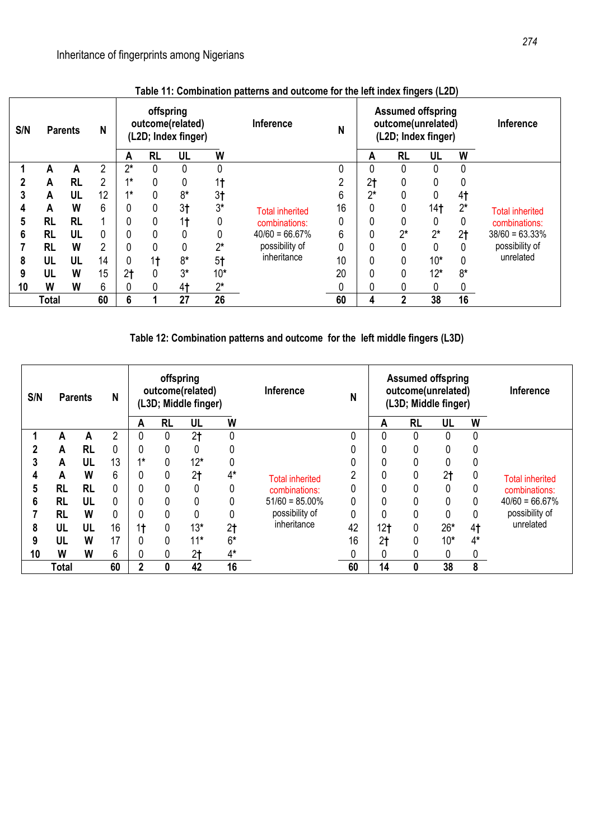| S/N | <b>Parents</b> |           | N  |                | offspring | outcome(related)<br>(L2D; Index finger) |                | Inference              | N  |                | <b>Assumed offspring</b><br>outcome(unrelated)<br>(L2D; Index finger) |                 |                | <b>Inference</b>       |
|-----|----------------|-----------|----|----------------|-----------|-----------------------------------------|----------------|------------------------|----|----------------|-----------------------------------------------------------------------|-----------------|----------------|------------------------|
|     |                |           |    | A              | <b>RL</b> | UL                                      | W              |                        |    | A              | <b>RL</b>                                                             | UL              | W              |                        |
|     | А              | А         | 2  | $2^*$          | 0         | 0                                       | 0              |                        |    |                | 0                                                                     | 0               | 0              |                        |
|     | А              | <b>RL</b> | 2  | $4*$           | 0         | 0                                       | 1†             |                        |    | 2 <sub>t</sub> |                                                                       | 0               |                |                        |
|     | A              | UL        | 12 | $4*$           | 0         | $8*$                                    | 3 <sub>1</sub> |                        | 6  | ኅ*             |                                                                       | 0               | 4 <sub>1</sub> |                        |
| 4   | A              | W         | 6  | 0              | 0         | 3†                                      | $3*$           | <b>Total inherited</b> | 16 |                | 0                                                                     | 14 <sub>1</sub> | $2^*$          | <b>Total inherited</b> |
| 5   | RL             | <b>RL</b> | 1  | 0              | 0         | 1 <sub>t</sub>                          | 0              | combinations:          |    |                |                                                                       | 0               | 0              | combinations:          |
| 6   | <b>RL</b>      | UL        | 0  | 0              | 0         |                                         | 0              | $40/60 = 66.67\%$      | 6  |                | $2^*$                                                                 | $2^*$           | 2 <sub>t</sub> | $38/60 = 63.33\%$      |
|     | <b>RL</b>      | W         | 2  | 0              | 0         | 0                                       | $2^*$          | possibility of         |    |                |                                                                       | 0               |                | possibility of         |
| 8   | UL             | UL        | 14 | 0              | 1†        | 8*                                      | 5 <sup>†</sup> | inheritance            | 10 |                |                                                                       | $10*$           | 0              | unrelated              |
| 9   | UL             | W         | 15 | 2 <sub>1</sub> |           | $3*$                                    | $10*$          |                        | 20 |                |                                                                       | $12*$           | $8*$           |                        |
| 10  | W              | W         | 6  | 0              | 0         | 4†                                      | $2^*$          |                        |    |                |                                                                       | 0               | 0              |                        |
|     | <b>Total</b>   |           | 60 | 6              |           | 27                                      | 26             |                        | 60 | 4              | 2                                                                     | 38              | 16             |                        |

## **Table 11: Combination patterns and outcome for the left index fingers (L2D)**

**Table 12: Combination patterns and outcome for the left middle fingers (L3D)**

| S/N | <b>Parents</b> |           | N  |                | offspring | outcome(related)<br>(L3D; Middle finger) |                | Inference              | N  |                 |           | <b>Assumed offspring</b><br>outcome(unrelated)<br>(L3D; Middle finger) |                | Inference              |
|-----|----------------|-----------|----|----------------|-----------|------------------------------------------|----------------|------------------------|----|-----------------|-----------|------------------------------------------------------------------------|----------------|------------------------|
|     |                |           |    | A              | <b>RL</b> | UL                                       | W              |                        |    | A               | <b>RL</b> | UL                                                                     | W              |                        |
|     | А              | A         | 2  | 0              | 0         | 2 <sub>t</sub>                           | 0              |                        | 0  | 0               | 0         | 0                                                                      | 0              |                        |
|     | A              | <b>RL</b> | 0  | 0              | 0         | 0                                        | 0              |                        |    |                 | 0         | 0                                                                      |                |                        |
| 3   | A              | UL        | 13 | $4*$           | 0         | $12*$                                    | 0              |                        | 0  |                 | 0         | 0                                                                      | 0              |                        |
| 4   | A              | W         | 6  | 0              | 0         | 2 <sub>1</sub>                           | 4*             | <b>Total inherited</b> | າ  |                 | 0         | 2 <sub>t</sub>                                                         |                | <b>Total inherited</b> |
| 5   | <b>RL</b>      | <b>RL</b> | 0  | 0              | 0         | 0                                        | 0              | combinations:          | 0  |                 | 0         | $\mathbf 0$                                                            |                | combinations:          |
| 6   | <b>RL</b>      | UL        | 0  | 0              | 0         | 0                                        | 0              | $51/60 = 85.00\%$      | 0  |                 | 0         | 0                                                                      | 0              | $40/60 = 66.67\%$      |
|     | <b>RL</b>      | W         | 0  | 0              | 0         | 0                                        | 0              | possibility of         | 0  |                 | 0         | 0                                                                      | $\theta$       | possibility of         |
| 8   | UL             | UL        | 16 | 1 <sup>†</sup> | 0         | $13*$                                    | 2 <sub>1</sub> | inheritance            | 42 | 12 <sub>t</sub> | 0         | $26*$                                                                  | 4 <sub>1</sub> | unrelated              |
| 9   | UL             | W         | 17 | 0              | 0         | $11*$                                    | $6*$           |                        | 16 | 2 <sub>t</sub>  | 0         | $10*$                                                                  | $4*$           |                        |
| 10  | W              | W         | 6  | 0              | 0         | 2 <sub>t</sub>                           | $4^*$          |                        | 0  |                 | 0         | 0                                                                      | 0              |                        |
|     | <b>Total</b>   |           | 60 | $\overline{2}$ | 0         | 42                                       | 16             |                        | 60 | 14              | 0         | 38                                                                     | 8              |                        |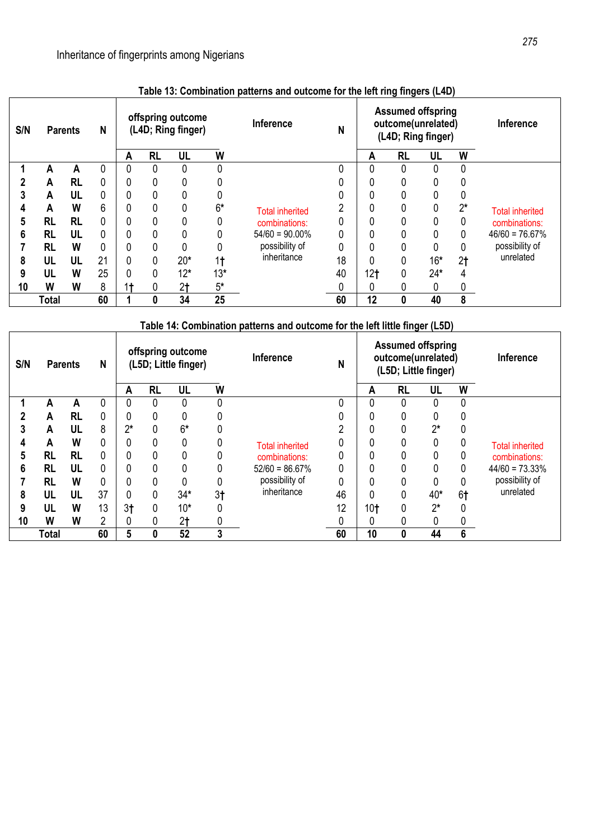| S/N | <b>Parents</b> |           | N  |                |           | offspring outcome<br>(L4D; Ring finger) |                | Inference              | N  |                 | <b>Assumed offspring</b><br>outcome(unrelated)<br>(L4D; Ring finger) |             |                | <b>Inference</b>       |
|-----|----------------|-----------|----|----------------|-----------|-----------------------------------------|----------------|------------------------|----|-----------------|----------------------------------------------------------------------|-------------|----------------|------------------------|
|     |                |           |    | A              | <b>RL</b> | UL                                      | W              |                        |    | Α               | <b>RL</b>                                                            | UL          | W              |                        |
|     | А              | А         | 0  | 0              | 0         | 0                                       | 0              |                        |    | 0               |                                                                      | $\mathbf 0$ | 0              |                        |
|     | A              | <b>RL</b> | 0  | 0              | 0         | 0                                       |                |                        |    |                 |                                                                      | 0           | 0              |                        |
|     | A              | UL        | 0  | 0              | 0         | 0                                       | 0              |                        |    |                 |                                                                      |             | 0              |                        |
| 4   | A              | W         | 6  | 0              | 0         | 0                                       | $6*$           | <b>Total inherited</b> | n  |                 |                                                                      | 0           | $2^*$          | <b>Total inherited</b> |
| 5   | <b>RL</b>      | <b>RL</b> | 0  | 0              | 0         |                                         | 0              | combinations:          |    |                 |                                                                      | 0           | 0              | combinations:          |
| 6   | RL             | UL        | 0  | 0              |           |                                         | 0              | $54/60 = 90.00\%$      |    |                 |                                                                      |             | 0              | $46/60 = 76.67\%$      |
|     | RL             | W         | 0  | 0              | 0         | 0                                       | 0              | possibility of         |    |                 |                                                                      | 0           | 0              | possibility of         |
| 8   | UL             | UL        | 21 | 0              | 0         | $20*$                                   | 1 <sub>†</sub> | inheritance            | 18 |                 |                                                                      | $16*$       | 2 <sub>t</sub> | unrelated              |
| 9   | UL             | W         | 25 | 0              |           | $12*$                                   | $13*$          |                        | 40 | 12 <sub>t</sub> |                                                                      | $24*$       | 4              |                        |
| 10  | W              | W         | 8  | 1 <sup>†</sup> | 0         | 2 <sub>t</sub>                          | $5*$           |                        |    |                 |                                                                      | 0           | 0              |                        |
|     | <b>Total</b>   |           | 60 |                | 0         | 34                                      | 25             |                        | 60 | 12              | 0                                                                    | 40          | 8              |                        |

# **Table 13: Combination patterns and outcome for the left ring fingers (L4D)**

| S/N | N<br><b>Parents</b> |           | offspring outcome<br>(L5D; Little finger) |                |           |                | Inference      | N                             |    | <b>Assumed offspring</b><br>outcome(unrelated)<br>(L5D; Little finger) |           |       | <b>Inference</b> |                        |
|-----|---------------------|-----------|-------------------------------------------|----------------|-----------|----------------|----------------|-------------------------------|----|------------------------------------------------------------------------|-----------|-------|------------------|------------------------|
|     |                     |           |                                           | Α              | <b>RL</b> | UL             | W              |                               |    | Α                                                                      | <b>RL</b> | UL    | W                |                        |
|     | Α                   | А         | 0                                         | 0              |           |                | 0              |                               |    |                                                                        |           | 0     | 0                |                        |
|     | A                   | <b>RL</b> | 0                                         | 0              |           |                |                |                               |    |                                                                        |           |       |                  |                        |
| 3   | A                   | UL        | 8                                         | $2^*$          |           | $6*$           | 0              | <b>Total inherited</b>        | ົ  |                                                                        |           | $2^*$ | 0                |                        |
|     | A                   | W         | 0                                         | 0              |           | 0              | 0              |                               |    |                                                                        |           | 0     |                  | <b>Total inherited</b> |
| 5   | RL                  | <b>RL</b> | 0                                         | 0              |           |                | 0              | combinations:                 |    |                                                                        |           |       | 0                | combinations:          |
| 6   | <b>RL</b>           | UL        | 0                                         | 0              |           |                | 0              | $52/60 = 86.67\%$             |    |                                                                        |           |       | 0                | $44/60 = 73.33%$       |
|     | RL                  | W         | 0                                         | 0              | 0         |                | 0              | possibility of<br>inheritance | 0  |                                                                        |           |       | 0                | possibility of         |
| 8   | UL                  | UL        | 37                                        | 0              | 0         | $34*$          | 3 <sub>1</sub> |                               | 46 |                                                                        |           | 40*   | 6 <sup>†</sup>   | unrelated              |
| 9   | UL                  | W         | 13                                        | 3 <sub>1</sub> | 0         | $10*$          | 0              |                               | 12 | 10 <sub>t</sub>                                                        |           | $2^*$ |                  |                        |
| 10  | W                   | W         | $\overline{2}$                            | 0              |           | 2 <sub>t</sub> |                |                               |    |                                                                        |           |       |                  |                        |
|     | Total               |           | 60                                        | 5              | 0         | 52             | 3              |                               | 60 | 10                                                                     |           | 44    | 6                |                        |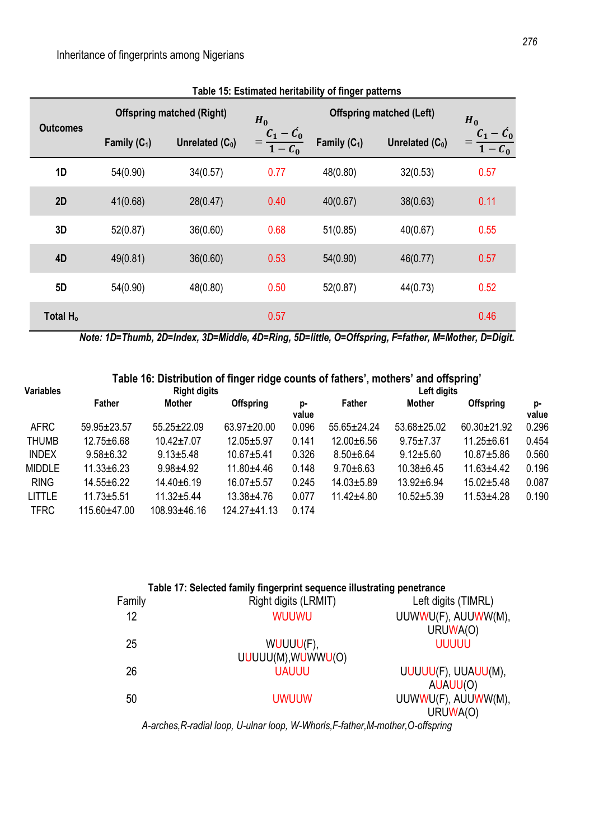|                      |                | <b>Offspring matched (Right)</b> | $H_0$                    | <b>Offspring matched (Left)</b> | $H_0$             |                          |
|----------------------|----------------|----------------------------------|--------------------------|---------------------------------|-------------------|--------------------------|
| <b>Outcomes</b>      | Family $(C_1)$ | Unrelated $(C_0)$                | $=\frac{C_1-C_0}{1-C_0}$ | Family $(C_1)$                  | Unrelated $(C_0)$ | $=\frac{C_1-C_0}{1-C_0}$ |
| 1D                   | 54(0.90)       | 34(0.57)                         | 0.77                     | 48(0.80)                        | 32(0.53)          | 0.57                     |
| 2D                   | 41(0.68)       | 28(0.47)                         | 0.40                     | 40(0.67)                        | 38(0.63)          | 0.11                     |
| 3D                   | 52(0.87)       | 36(0.60)                         | 0.68                     | 51(0.85)                        | 40(0.67)          | 0.55                     |
| 4D                   | 49(0.81)       | 36(0.60)                         | 0.53                     | 54(0.90)                        | 46(0.77)          | 0.57                     |
| <b>5D</b>            | 54(0.90)       | 48(0.80)                         | 0.50                     | 52(0.87)                        | 44(0.73)          | 0.52                     |
| Total H <sub>o</sub> |                |                                  | 0.57                     |                                 |                   | 0.46                     |

**Table 15: Estimated heritability of finger patterns**

*Note: 1D=Thumb, 2D=Index, 3D=Middle, 4D=Ring, 5D=little, O=Offspring, F=father, M=Mother, D=Digit.*

# **Table 16: Distribution of finger ridge counts of fathers', mothers' and offspring'**

| <b>Variables</b> |                  | <b>Right digits</b> |                  | Left digits |                |                 |                  |             |  |
|------------------|------------------|---------------------|------------------|-------------|----------------|-----------------|------------------|-------------|--|
|                  | <b>Father</b>    | <b>Mother</b>       | <b>Offspring</b> | p-<br>value | <b>Father</b>  | <b>Mother</b>   | <b>Offspring</b> | p-<br>value |  |
| <b>AFRC</b>      | 59.95±23.57      | $55.25 \pm 22.09$   | 63.97±20.00      | 0.096       | 55.65±24.24    | 53.68±25.02     | 60.30±21.92      | 0.296       |  |
| <b>THUMB</b>     | $12.75 \pm 6.68$ | $10.42 \pm 7.07$    | 12.05±5.97       | 0.141       | 12.00±6.56     | $9.75 \pm 7.37$ | $11.25 \pm 6.61$ | 0.454       |  |
| <b>INDEX</b>     | $9.58 \pm 6.32$  | $9.13 \pm 5.48$     | $10.67 + 5.41$   | 0.326       | $8.50 + 6.64$  | $9.12 + 5.60$   | 10.87±5.86       | 0.560       |  |
| <b>MIDDLE</b>    | $11.33 + 6.23$   | $9.98 + 4.92$       | 11.80±4.46       | 0.148       | $9.70 + 6.63$  | 10.38±6.45      | $11.63 + 4.42$   | 0.196       |  |
| <b>RING</b>      | $14.55 \pm 6.22$ | 14.40±6.19          | 16.07±5.57       | 0.245       | 14.03±5.89     | 13.92±6.94      | $15.02 + 5.48$   | 0.087       |  |
| <b>LITTLE</b>    | $11.73 + 5.51$   | $11.32 + 5.44$      | 13.38±4.76       | 0.077       | $11.42 + 4.80$ | $10.52 + 5.39$  | $11.53 + 4.28$   | 0.190       |  |
| <b>TFRC</b>      | 115.60±47.00     | 108.93±46.16        | $124.27 + 41.13$ | 0.174       |                |                 |                  |             |  |

| Table 17: Selected family fingerprint sequence illustrating penetrance |                     |  |  |  |  |  |  |
|------------------------------------------------------------------------|---------------------|--|--|--|--|--|--|
| Right digits (LRMIT)                                                   | Left digits (TIMRL) |  |  |  |  |  |  |
| <b>WUUWU</b>                                                           | UUWWU(F), AUUWW(M), |  |  |  |  |  |  |
|                                                                        | URUWA(O)            |  |  |  |  |  |  |
| WUUUU(F),                                                              | <b>UUUUU</b>        |  |  |  |  |  |  |
| UUUUU(M), WUWWU(O)                                                     |                     |  |  |  |  |  |  |
| <b>UAUUU</b>                                                           | UUUUU(F), UUAUU(M), |  |  |  |  |  |  |
|                                                                        | AUAUU(O)            |  |  |  |  |  |  |
| <b>UWUUW</b>                                                           | UUWWU(F), AUUWW(M), |  |  |  |  |  |  |
|                                                                        | URUWA(O)            |  |  |  |  |  |  |
|                                                                        |                     |  |  |  |  |  |  |

*A-arches,R-radial loop, U-ulnar loop, W-Whorls,F-father,M-mother,O-offspring*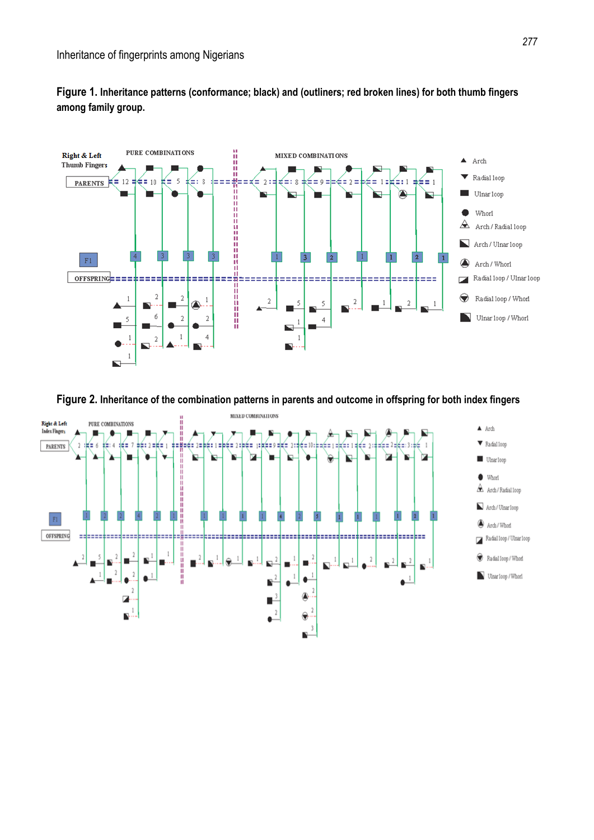

**Figure 1. Inheritance patterns (conformance; black) and (outliners; red broken lines) for both thumb fingers among family group.**

**Figure 2. Inheritance of the combination patterns in parents and outcome in offspring for both index fingers** 

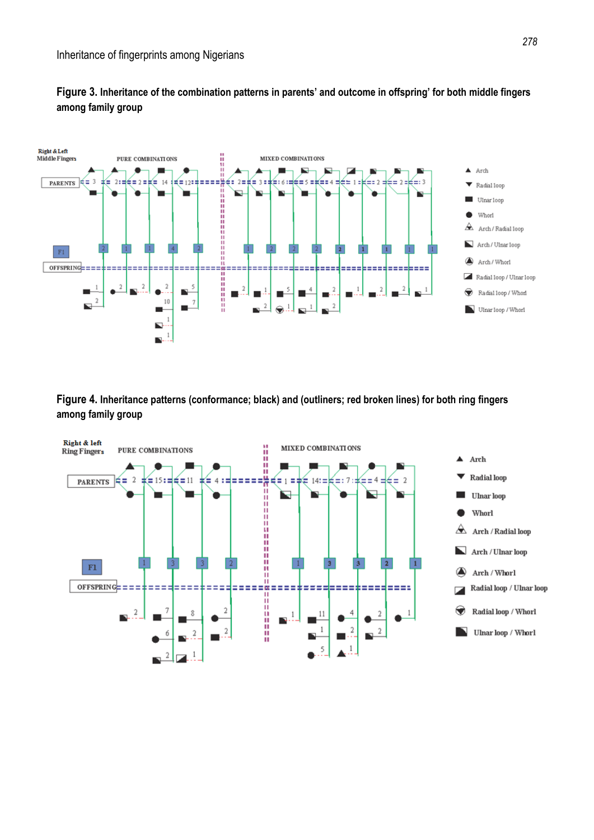



**Figure 4. Inheritance patterns (conformance; black) and (outliners; red broken lines) for both ring fingers among family group** 



#### *278*